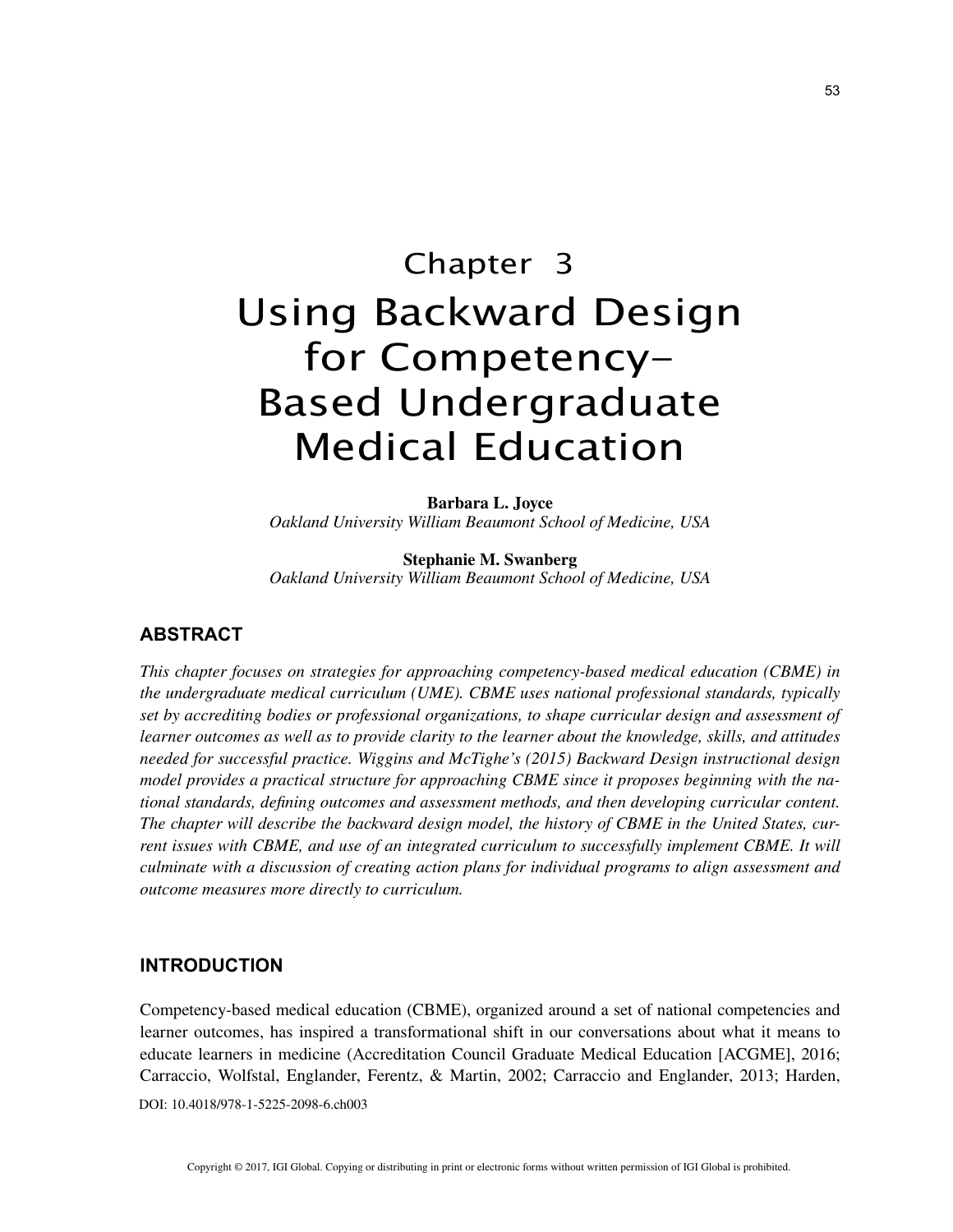# Chapter 3 Using Backward Design for Competency-Based Undergraduate Medical Education

**Barbara L. Joyce** *Oakland University William Beaumont School of Medicine, USA*

**Stephanie M. Swanberg** *Oakland University William Beaumont School of Medicine, USA*

## **ABSTRACT**

*This chapter focuses on strategies for approaching competency-based medical education (CBME) in the undergraduate medical curriculum (UME). CBME uses national professional standards, typically set by accrediting bodies or professional organizations, to shape curricular design and assessment of learner outcomes as well as to provide clarity to the learner about the knowledge, skills, and attitudes needed for successful practice. Wiggins and McTighe's (2015) Backward Design instructional design model provides a practical structure for approaching CBME since it proposes beginning with the national standards, defining outcomes and assessment methods, and then developing curricular content. The chapter will describe the backward design model, the history of CBME in the United States, current issues with CBME, and use of an integrated curriculum to successfully implement CBME. It will culminate with a discussion of creating action plans for individual programs to align assessment and outcome measures more directly to curriculum.*

## **INTRODUCTION**

DOI: 10.4018/978-1-5225-2098-6.ch003 Competency-based medical education (CBME), organized around a set of national competencies and learner outcomes, has inspired a transformational shift in our conversations about what it means to educate learners in medicine (Accreditation Council Graduate Medical Education [ACGME], 2016; Carraccio, Wolfstal, Englander, Ferentz, & Martin, 2002; Carraccio and Englander, 2013; Harden,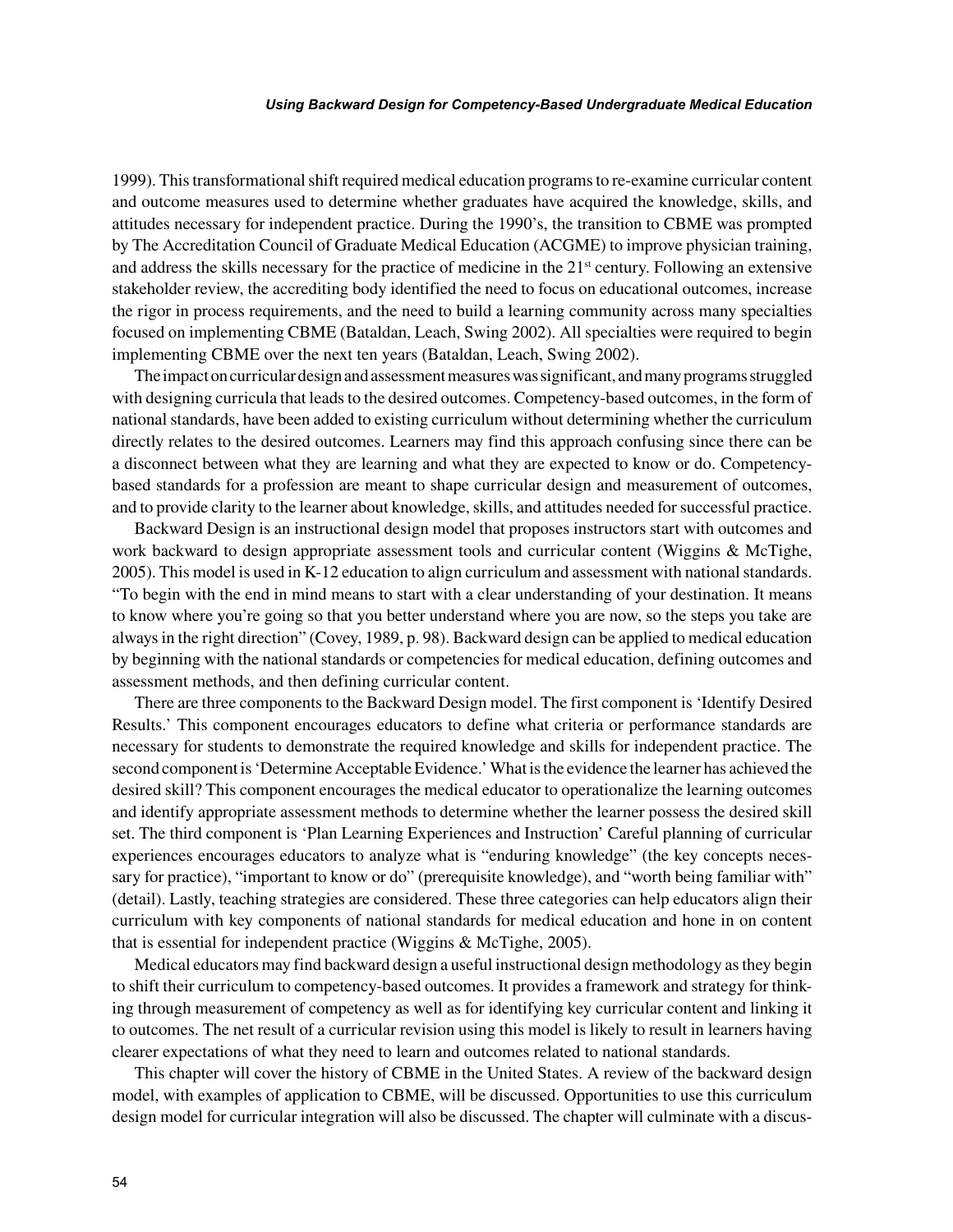#### *Using Backward Design for Competency-Based Undergraduate Medical Education*

1999). This transformational shift required medical education programs to re-examine curricular content and outcome measures used to determine whether graduates have acquired the knowledge, skills, and attitudes necessary for independent practice. During the 1990's, the transition to CBME was prompted by The Accreditation Council of Graduate Medical Education (ACGME) to improve physician training, and address the skills necessary for the practice of medicine in the  $21<sup>st</sup>$  century. Following an extensive stakeholder review, the accrediting body identified the need to focus on educational outcomes, increase the rigor in process requirements, and the need to build a learning community across many specialties focused on implementing CBME (Bataldan, Leach, Swing 2002). All specialties were required to begin implementing CBME over the next ten years (Bataldan, Leach, Swing 2002).

The impact on curricular design and assessment measures was significant, and many programs struggled with designing curricula that leads to the desired outcomes. Competency-based outcomes, in the form of national standards, have been added to existing curriculum without determining whether the curriculum directly relates to the desired outcomes. Learners may find this approach confusing since there can be a disconnect between what they are learning and what they are expected to know or do. Competencybased standards for a profession are meant to shape curricular design and measurement of outcomes, and to provide clarity to the learner about knowledge, skills, and attitudes needed for successful practice.

Backward Design is an instructional design model that proposes instructors start with outcomes and work backward to design appropriate assessment tools and curricular content (Wiggins & McTighe, 2005). This model is used in K-12 education to align curriculum and assessment with national standards. "To begin with the end in mind means to start with a clear understanding of your destination. It means to know where you're going so that you better understand where you are now, so the steps you take are always in the right direction" (Covey, 1989, p. 98). Backward design can be applied to medical education by beginning with the national standards or competencies for medical education, defining outcomes and assessment methods, and then defining curricular content.

There are three components to the Backward Design model. The first component is 'Identify Desired Results.' This component encourages educators to define what criteria or performance standards are necessary for students to demonstrate the required knowledge and skills for independent practice. The second component is 'Determine Acceptable Evidence.' What is the evidence the learner has achieved the desired skill? This component encourages the medical educator to operationalize the learning outcomes and identify appropriate assessment methods to determine whether the learner possess the desired skill set. The third component is 'Plan Learning Experiences and Instruction' Careful planning of curricular experiences encourages educators to analyze what is "enduring knowledge" (the key concepts necessary for practice), "important to know or do" (prerequisite knowledge), and "worth being familiar with" (detail). Lastly, teaching strategies are considered. These three categories can help educators align their curriculum with key components of national standards for medical education and hone in on content that is essential for independent practice (Wiggins & McTighe, 2005).

Medical educators may find backward design a useful instructional design methodology as they begin to shift their curriculum to competency-based outcomes. It provides a framework and strategy for thinking through measurement of competency as well as for identifying key curricular content and linking it to outcomes. The net result of a curricular revision using this model is likely to result in learners having clearer expectations of what they need to learn and outcomes related to national standards.

This chapter will cover the history of CBME in the United States. A review of the backward design model, with examples of application to CBME, will be discussed. Opportunities to use this curriculum design model for curricular integration will also be discussed. The chapter will culminate with a discus